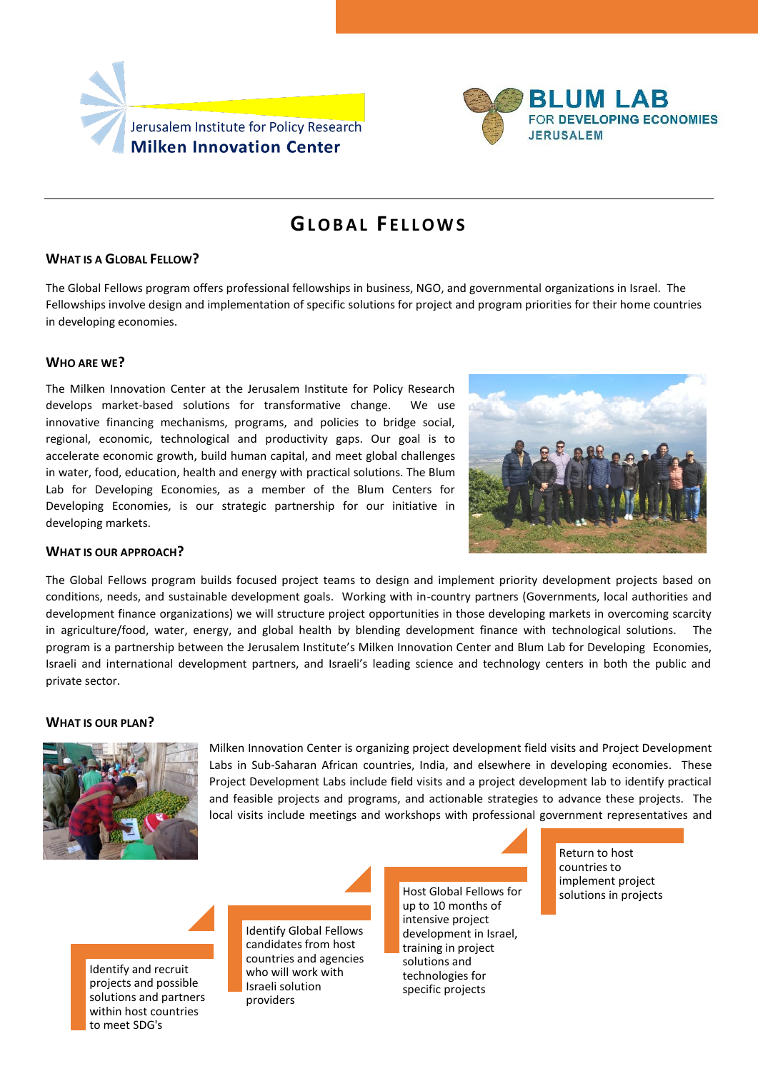



# **GL O B A L F E L L O W S**

## **WHAT IS A GLOBAL FELLOW?**

The Global Fellows program offers professional fellowships in business, NGO, and governmental organizations in Israel. The Fellowships involve design and implementation of specific solutions for project and program priorities for their home countries in developing economies.

### **WHO ARE WE?**

The Milken Innovation Center at the Jerusalem Institute for Policy Research develops market-based solutions for transformative change. We use innovative financing mechanisms, programs, and policies to bridge social, regional, economic, technological and productivity gaps. Our goal is to accelerate economic growth, build human capital, and meet global challenges in water, food, education, health and energy with practical solutions. The Blum Lab for Developing Economies, as a member of the Blum Centers for Developing Economies, is our strategic partnership for our initiative in developing markets.



## **WHAT IS OUR APPROACH?**

The Global Fellows program builds focused project teams to design and implement priority development projects based on conditions, needs, and sustainable development goals. Working with in-country partners (Governments, local authorities and development finance organizations) we will structure project opportunities in those developing markets in overcoming scarcity in agriculture/food, water, energy, and global health by blending development finance with technological solutions. The program is a partnership between the Jerusalem Institute's Milken Innovation Center and Blum Lab for Developing Economies, Israeli and international development partners, and Israeli's leading science and technology centers in both the public and private sector.

#### **WHAT IS OUR PLAN?**



Milken Innovation Center is organizing project development field visits and Project Development Labs in Sub-Saharan African countries, India, and elsewhere in developing economies. These Project Development Labs include field visits and a project development lab to identify practical and feasible projects and programs, and actionable strategies to advance these projects. The local visits include meetings and workshops with professional government representatives and

Identify and recruit projects and possible solutions and partners within host countries to meet SDG's

Identify Global Fellows candidates from host countries and agencies who will work with Israeli solution providers

Host Global Fellows for up to 10 months of intensive project development in Israel, training in project solutions and technologies for specific projects

Return to host countries to implement project solutions in projects